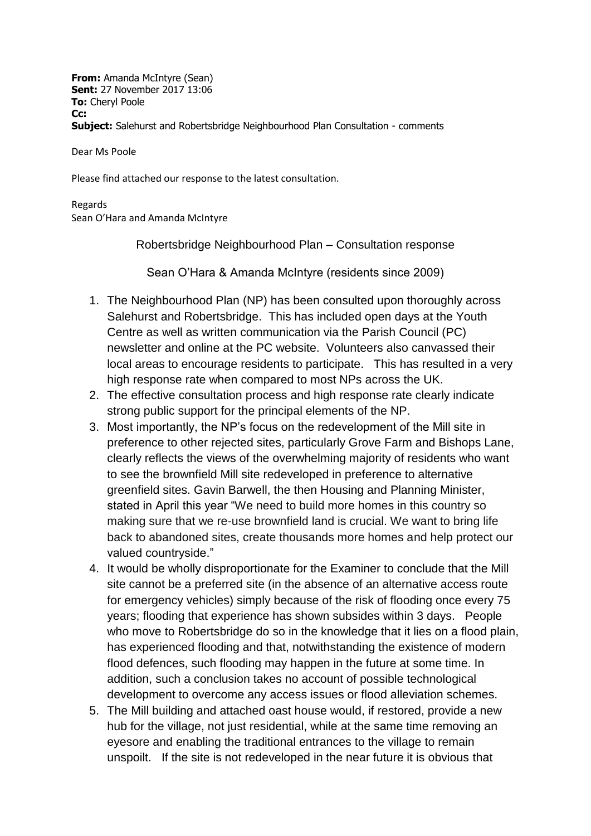**From:** Amanda McIntyre (Sean) **Sent:** 27 November 2017 13:06 **To:** Cheryl Poole **Cc: Subject:** Salehurst and Robertsbridge Neighbourhood Plan Consultation - comments

Dear Ms Poole

Please find attached our response to the latest consultation.

Regards Sean O'Hara and Amanda McIntyre

Robertsbridge Neighbourhood Plan – Consultation response

Sean O'Hara & Amanda McIntyre (residents since 2009)

- 1. The Neighbourhood Plan (NP) has been consulted upon thoroughly across Salehurst and Robertsbridge. This has included open days at the Youth Centre as well as written communication via the Parish Council (PC) newsletter and online at the PC website. Volunteers also canvassed their local areas to encourage residents to participate. This has resulted in a very high response rate when compared to most NPs across the UK.
- 2. The effective consultation process and high response rate clearly indicate strong public support for the principal elements of the NP.
- 3. Most importantly, the NP's focus on the redevelopment of the Mill site in preference to other rejected sites, particularly Grove Farm and Bishops Lane, clearly reflects the views of the overwhelming majority of residents who want to see the brownfield Mill site redeveloped in preference to alternative greenfield sites. Gavin Barwell, the then Housing and Planning Minister, stated in April this year "We need to build more homes in this country so making sure that we re-use brownfield land is crucial. We want to bring life back to abandoned sites, create thousands more homes and help protect our valued countryside."
- 4. It would be wholly disproportionate for the Examiner to conclude that the Mill site cannot be a preferred site (in the absence of an alternative access route for emergency vehicles) simply because of the risk of flooding once every 75 years; flooding that experience has shown subsides within 3 days. People who move to Robertsbridge do so in the knowledge that it lies on a flood plain, has experienced flooding and that, notwithstanding the existence of modern flood defences, such flooding may happen in the future at some time. In addition, such a conclusion takes no account of possible technological development to overcome any access issues or flood alleviation schemes.
- 5. The Mill building and attached oast house would, if restored, provide a new hub for the village, not just residential, while at the same time removing an eyesore and enabling the traditional entrances to the village to remain unspoilt. If the site is not redeveloped in the near future it is obvious that